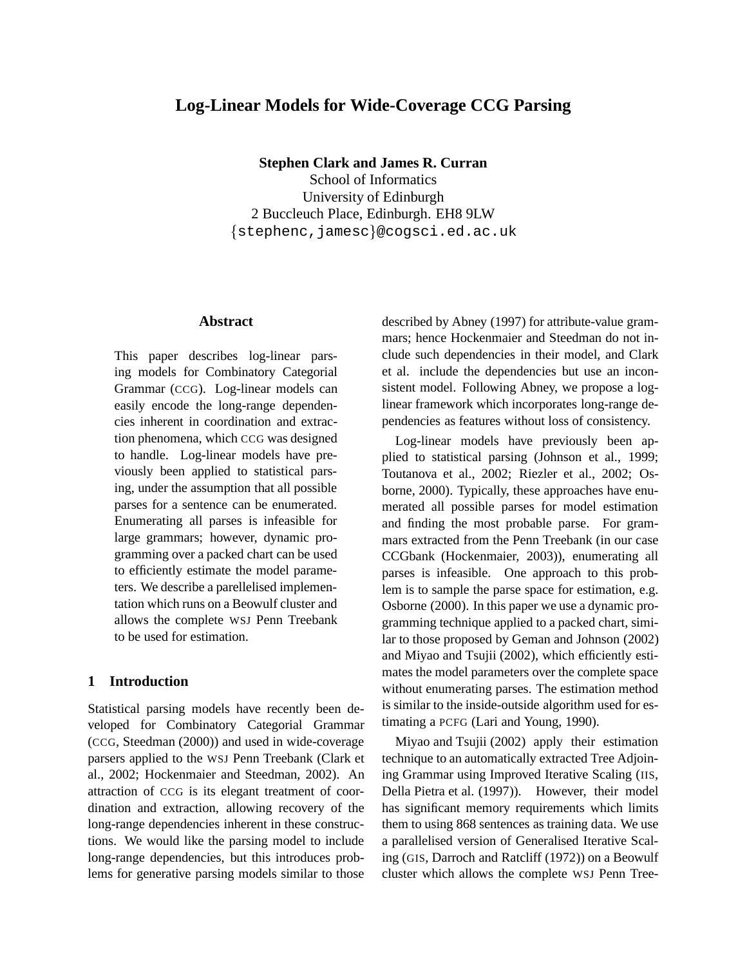# **Log-Linear Models for Wide-Coverage CCG Parsing**

**Stephen Clark and James R. Curran**

School of Informatics University of Edinburgh 2 Buccleuch Place, Edinburgh. EH8 9LW {stephenc,jamesc}@cogsci.ed.ac.uk

## **Abstract**

This paper describes log-linear parsing models for Combinatory Categorial Grammar (CCG). Log-linear models can easily encode the long-range dependencies inherent in coordination and extraction phenomena, which CCG was designed to handle. Log-linear models have previously been applied to statistical parsing, under the assumption that all possible parses for a sentence can be enumerated. Enumerating all parses is infeasible for large grammars; however, dynamic programming over a packed chart can be used to efficiently estimate the model parameters. We describe a parellelised implementation which runs on a Beowulf cluster and allows the complete WSJ Penn Treebank to be used for estimation.

## **1 Introduction**

Statistical parsing models have recently been developed for Combinatory Categorial Grammar (CCG, Steedman (2000)) and used in wide-coverage parsers applied to the WSJ Penn Treebank (Clark et al., 2002; Hockenmaier and Steedman, 2002). An attraction of CCG is its elegant treatment of coordination and extraction, allowing recovery of the long-range dependencies inherent in these constructions. We would like the parsing model to include long-range dependencies, but this introduces problems for generative parsing models similar to those

described by Abney (1997) for attribute-value grammars; hence Hockenmaier and Steedman do not include such dependencies in their model, and Clark et al. include the dependencies but use an inconsistent model. Following Abney, we propose a loglinear framework which incorporates long-range dependencies as features without loss of consistency.

Log-linear models have previously been applied to statistical parsing (Johnson et al., 1999; Toutanova et al., 2002; Riezler et al., 2002; Osborne, 2000). Typically, these approaches have enumerated all possible parses for model estimation and finding the most probable parse. For grammars extracted from the Penn Treebank (in our case CCGbank (Hockenmaier, 2003)), enumerating all parses is infeasible. One approach to this problem is to sample the parse space for estimation, e.g. Osborne (2000). In this paper we use a dynamic programming technique applied to a packed chart, similar to those proposed by Geman and Johnson (2002) and Miyao and Tsujii (2002), which efficiently estimates the model parameters over the complete space without enumerating parses. The estimation method is similar to the inside-outside algorithm used for estimating a PCFG (Lari and Young, 1990).

Miyao and Tsujii (2002) apply their estimation technique to an automatically extracted Tree Adjoining Grammar using Improved Iterative Scaling (IIS, Della Pietra et al. (1997)). However, their model has significant memory requirements which limits them to using 868 sentences as training data. We use a parallelised version of Generalised Iterative Scaling (GIS, Darroch and Ratcliff (1972)) on a Beowulf cluster which allows the complete WSJ Penn Tree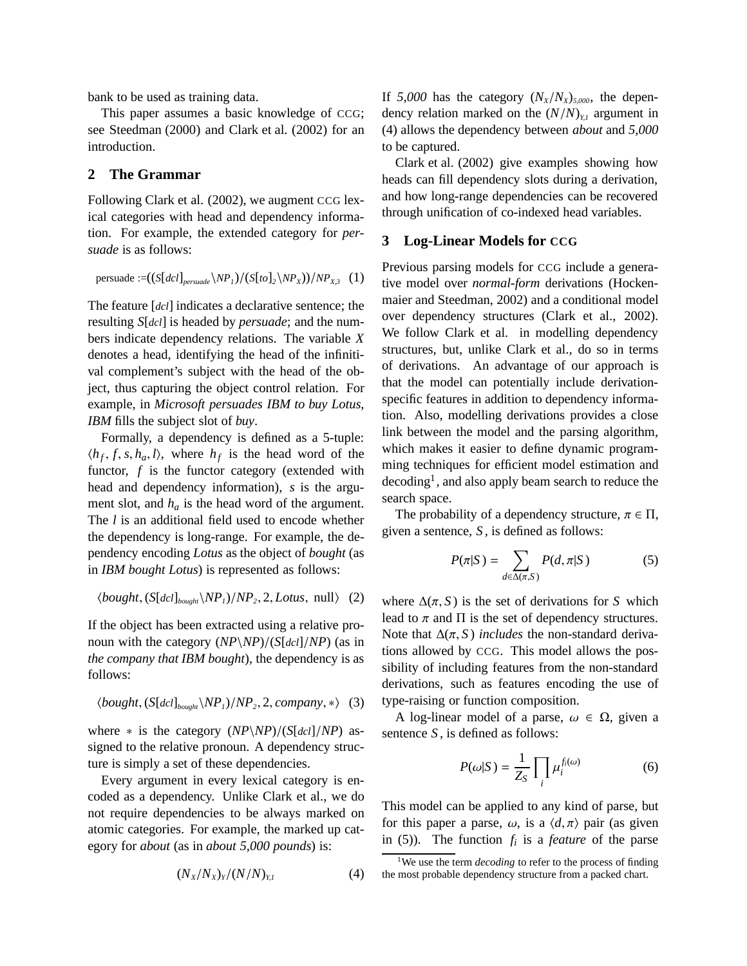bank to be used as training data.

This paper assumes a basic knowledge of CCG; see Steedman (2000) and Clark et al. (2002) for an introduction.

## **2 The Grammar**

Following Clark et al. (2002), we augment CCG lexical categories with head and dependency information. For example, the extended category for *persuade* is as follows:

persuade :=
$$
((S[dcl]_{persuade} \backslash NP_I)/(S[to]_2 \backslash NP_X))/NP_{X,3}
$$
 (1)

The feature [*dcl*] indicates a declarative sentence; the resulting *S*[*dcl*] is headed by *persuade*; and the numbers indicate dependency relations. The variable *X* denotes a head, identifying the head of the infinitival complement's subject with the head of the object, thus capturing the object control relation. For example, in *Microsoft persuades IBM to buy Lotus*, *IBM* fills the subject slot of *buy*.

Formally, a dependency is defined as a 5-tuple:  $\langle h_f, f, s, h_a, l \rangle$ , where  $h_f$  is the head word of the functor, *f* is the functor category (extended with head and dependency information), *s* is the argument slot, and  $h_a$  is the head word of the argument. The *l* is an additional field used to encode whether the dependency is long-range. For example, the dependency encoding *Lotus* as the object of *bought* (as in *IBM bought Lotus*) is represented as follows:

$$
\langle bought, (S[dcl]_{\text{boundary}} \setminus NP_1)/NP_2, 2, Lotus, null \rangle \quad (2)
$$

If the object has been extracted using a relative pronoun with the category (*NP*\*NP*)/(*S*[*dcl*]/*NP*) (as in *the company that IBM bought*), the dependency is as follows:

$$
\langle bought, (S[dcl]_{\text{boundary}} \setminus NP_1)/NP_2, 2, company, *\rangle
$$
 (3)

where ∗ is the category (*NP*\*NP*)/(*S*[*dcl*]/*NP*) assigned to the relative pronoun. A dependency structure is simply a set of these dependencies.

Every argument in every lexical category is encoded as a dependency. Unlike Clark et al., we do not require dependencies to be always marked on atomic categories. For example, the marked up category for *about* (as in *about 5,000 pounds*) is:

$$
(N_X/N_X)_Y/(N/N)_{Y,I} \tag{4}
$$

If  $5,000$  has the category  $(N_X/N_X)_{5,000}$ , the dependency relation marked on the  $(N/N)_{Y,l}$  argument in (4) allows the dependency between *about* and *5,000* to be captured.

Clark et al. (2002) give examples showing how heads can fill dependency slots during a derivation, and how long-range dependencies can be recovered through unification of co-indexed head variables.

### **3 Log-Linear Models for CCG**

Previous parsing models for CCG include a generative model over *normal-form* derivations (Hockenmaier and Steedman, 2002) and a conditional model over dependency structures (Clark et al., 2002). We follow Clark et al. in modelling dependency structures, but, unlike Clark et al., do so in terms of derivations. An advantage of our approach is that the model can potentially include derivationspecific features in addition to dependency information. Also, modelling derivations provides a close link between the model and the parsing algorithm, which makes it easier to define dynamic programming techniques for efficient model estimation and  $\rm{decoding}^1$ , and also apply beam search to reduce the search space.

The probability of a dependency structure,  $\pi \in \Pi$ , given a sentence, *S* , is defined as follows:

$$
P(\pi|S) = \sum_{d \in \Delta(\pi, S)} P(d, \pi|S)
$$
 (5)

where  $\Delta(\pi, S)$  is the set of derivations for *S* which lead to  $\pi$  and  $\Pi$  is the set of dependency structures. Note that  $\Delta(\pi, S)$  *includes* the non-standard derivations allowed by CCG. This model allows the possibility of including features from the non-standard derivations, such as features encoding the use of type-raising or function composition.

A log-linear model of a parse,  $\omega \in \Omega$ , given a sentence *S* , is defined as follows:

$$
P(\omega|S) = \frac{1}{Z_S} \prod_i \mu_i^{f_i(\omega)} \tag{6}
$$

This model can be applied to any kind of parse, but for this paper a parse,  $\omega$ , is a  $\langle d, \pi \rangle$  pair (as given in (5)). The function *fi* is a *feature* of the parse

<sup>&</sup>lt;sup>1</sup>We use the term *decoding* to refer to the process of finding the most probable dependency structure from a packed chart.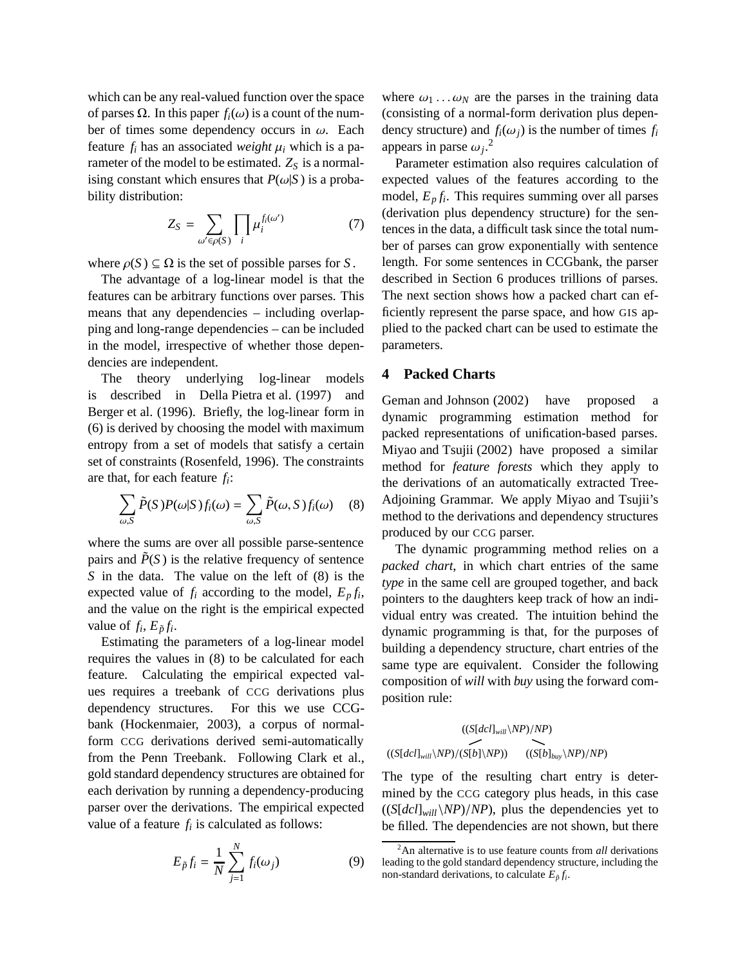which can be any real-valued function over the space of parses Ω. In this paper  $f_i$  (ω) is a count of the number of times some dependency occurs in  $\omega$ . Each feature  $f_i$  has an associated *weight*  $\mu_i$  which is a parameter of the model to be estimated.  $Z_S$  is a normalising constant which ensures that  $P(\omega|S)$  is a probability distribution:

$$
Z_S = \sum_{\omega' \in \rho(S)} \prod_i \mu_i^{f_i(\omega')} \tag{7}
$$

where  $\rho(S) \subseteq \Omega$  is the set of possible parses for *S*.

The advantage of a log-linear model is that the features can be arbitrary functions over parses. This means that any dependencies – including overlapping and long-range dependencies – can be included in the model, irrespective of whether those dependencies are independent.

The theory underlying log-linear models is described in Della Pietra et al. (1997) and Berger et al. (1996). Briefly, the log-linear form in (6) is derived by choosing the model with maximum entropy from a set of models that satisfy a certain set of constraints (Rosenfeld, 1996). The constraints are that, for each feature *fi*:

$$
\sum_{\omega,S} \tilde{P}(S) P(\omega|S) f_i(\omega) = \sum_{\omega,S} \tilde{P}(\omega, S) f_i(\omega) \quad (8)
$$

where the sums are over all possible parse-sentence pairs and  $\tilde{P}(S)$  is the relative frequency of sentence *S* in the data. The value on the left of (8) is the expected value of  $f_i$  according to the model,  $E_p f_i$ , and the value on the right is the empirical expected value of  $f_i$ ,  $E_{\tilde{p}} f_i$ .

Estimating the parameters of a log-linear model requires the values in (8) to be calculated for each feature. Calculating the empirical expected values requires a treebank of CCG derivations plus dependency structures. For this we use CCGbank (Hockenmaier, 2003), a corpus of normalform CCG derivations derived semi-automatically from the Penn Treebank. Following Clark et al., gold standard dependency structures are obtained for each derivation by running a dependency-producing parser over the derivations. The empirical expected value of a feature  $f_i$  is calculated as follows:

$$
E_{\tilde{p}}f_i = \frac{1}{N} \sum_{j=1}^{N} f_i(\omega_j)
$$
 (9)

where  $\omega_1 \dots \omega_N$  are the parses in the training data (consisting of a normal-form derivation plus dependency structure) and  $f_i(\omega_i)$  is the number of times  $f_i$ appears in parse  $\omega_j$ <sup>2</sup>

Parameter estimation also requires calculation of expected values of the features according to the model,  $E_p f_i$ . This requires summing over all parses (derivation plus dependency structure) for the sentences in the data, a difficult task since the total number of parses can grow exponentially with sentence length. For some sentences in CCGbank, the parser described in Section 6 produces trillions of parses. The next section shows how a packed chart can efficiently represent the parse space, and how GIS applied to the packed chart can be used to estimate the parameters.

## **4 Packed Charts**

Geman and Johnson (2002) have proposed a dynamic programming estimation method for packed representations of unification-based parses. Miyao and Tsujii (2002) have proposed a similar method for *feature forests* which they apply to the derivations of an automatically extracted Tree-Adjoining Grammar. We apply Miyao and Tsujii's method to the derivations and dependency structures produced by our CCG parser.

The dynamic programming method relies on a *packed chart*, in which chart entries of the same *type* in the same cell are grouped together, and back pointers to the daughters keep track of how an individual entry was created. The intuition behind the dynamic programming is that, for the purposes of building a dependency structure, chart entries of the same type are equivalent. Consider the following composition of *will* with *buy* using the forward composition rule:

$$
((S[dcI]_{will}\setminus NP)/NP)
$$
  

$$
((S[dcI]_{will}\setminus NP)/ (S[b]\setminus NP)) \qquad ((S[b]_{buy}\setminus NP)/NP)
$$

The type of the resulting chart entry is determined by the CCG category plus heads, in this case  $((S[dcI]_{will}\N P)/NP)$ , plus the dependencies yet to be filled. The dependencies are not shown, but there

<sup>2</sup>An alternative is to use feature counts from *all* derivations leading to the gold standard dependency structure, including the non-standard derivations, to calculate  $E_{\tilde{p}} f_i$ .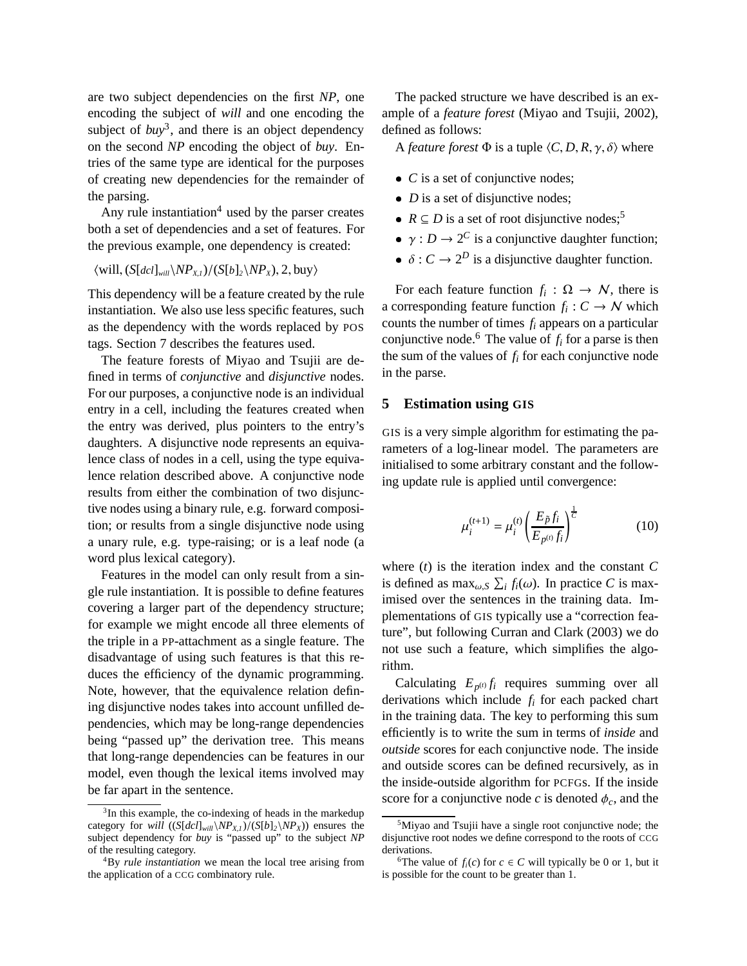are two subject dependencies on the first *NP*, one encoding the subject of *will* and one encoding the subject of  $buv^3$ , and there is an object dependency on the second *NP* encoding the object of *buy*. Entries of the same type are identical for the purposes of creating new dependencies for the remainder of the parsing.

Any rule instantiation<sup>4</sup> used by the parser creates both a set of dependencies and a set of features. For the previous example, one dependency is created:

 $\langle$ will,  $(S[dcl]_{will}\langle NP_{Xl}\rangle/(S[b]_2\langle NP_{X}\rangle, 2, buy)\rangle$ 

This dependency will be a feature created by the rule instantiation. We also use less specific features, such as the dependency with the words replaced by POS tags. Section 7 describes the features used.

The feature forests of Miyao and Tsujii are defined in terms of *conjunctive* and *disjunctive* nodes. For our purposes, a conjunctive node is an individual entry in a cell, including the features created when the entry was derived, plus pointers to the entry's daughters. A disjunctive node represents an equivalence class of nodes in a cell, using the type equivalence relation described above. A conjunctive node results from either the combination of two disjunctive nodes using a binary rule, e.g. forward composition; or results from a single disjunctive node using a unary rule, e.g. type-raising; or is a leaf node (a word plus lexical category).

Features in the model can only result from a single rule instantiation. It is possible to define features covering a larger part of the dependency structure; for example we might encode all three elements of the triple in a PP-attachment as a single feature. The disadvantage of using such features is that this reduces the efficiency of the dynamic programming. Note, however, that the equivalence relation defining disjunctive nodes takes into account unfilled dependencies, which may be long-range dependencies being "passed up" the derivation tree. This means that long-range dependencies can be features in our model, even though the lexical items involved may be far apart in the sentence.

The packed structure we have described is an example of a *feature forest* (Miyao and Tsujii, 2002), defined as follows:

A *feature forest*  $\Phi$  is a tuple  $\langle C, D, R, \gamma, \delta \rangle$  where

- *C* is a set of conjunctive nodes;
- *D* is a set of disjunctive nodes;
- $R \subseteq D$  is a set of root disjunctive nodes;<sup>5</sup>
- $\gamma : D \to 2^C$  is a conjunctive daughter function;
- $\bullet$   $\delta$  :  $C \rightarrow 2^D$  is a disjunctive daughter function.

For each feature function  $f_i : \Omega \to \mathcal{N}$ , there is a corresponding feature function  $f_i: C \to N$  which counts the number of times *fi* appears on a particular conjunctive node.<sup>6</sup> The value of  $f_i$  for a parse is then the sum of the values of  $f_i$  for each conjunctive node in the parse.

### **5 Estimation using GIS**

GIS is a very simple algorithm for estimating the parameters of a log-linear model. The parameters are initialised to some arbitrary constant and the following update rule is applied until convergence:

$$
\mu_i^{(t+1)} = \mu_i^{(t)} \left( \frac{E_{\tilde{p}} f_i}{E_{p^{(t)}} f_i} \right)^{\frac{1}{C}}
$$
(10)

where (*t*) is the iteration index and the constant *C* is defined as  $\max_{\omega, S} \sum_i f_i(\omega)$ . In practice *C* is maximised over the sentences in the training data. Implementations of GIS typically use a "correction feature", but following Curran and Clark (2003) we do not use such a feature, which simplifies the algorithm.

Calculating  $E_{p^{(t)}} f_i$  requires summing over all derivations which include *fi* for each packed chart in the training data. The key to performing this sum efficiently is to write the sum in terms of *inside* and *outside* scores for each conjunctive node. The inside and outside scores can be defined recursively, as in the inside-outside algorithm for PCFGs. If the inside score for a conjunctive node  $c$  is denoted  $\phi_c$ , and the

<sup>&</sup>lt;sup>3</sup>In this example, the co-indexing of heads in the markedup category for *will*  $((S[dcI]_{will}\setminus NP_{X,I})/(S[b]_2\setminus NP_X))$  ensures the subject dependency for *buy* is "passed up" to the subject *NP* of the resulting category.

<sup>4</sup>By *rule instantiation* we mean the local tree arising from the application of a CCG combinatory rule.

<sup>&</sup>lt;sup>5</sup>Miyao and Tsujii have a single root conjunctive node; the disjunctive root nodes we define correspond to the roots of CCG derivations.

<sup>&</sup>lt;sup>6</sup>The value of  $f_i(c)$  for  $c \in C$  will typically be 0 or 1, but it is possible for the count to be greater than 1.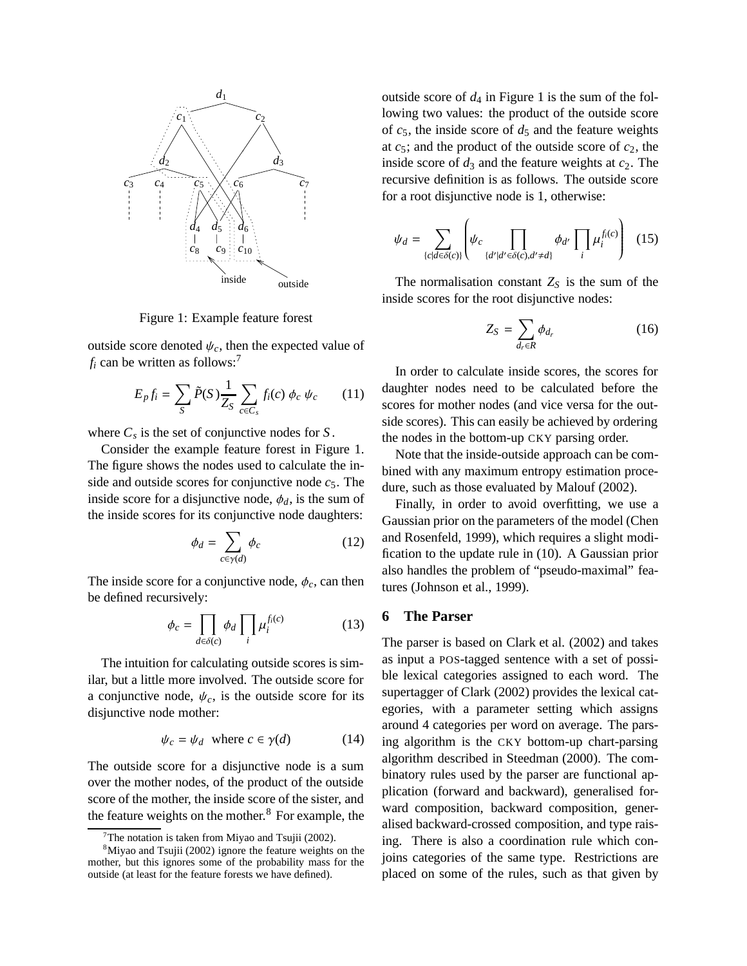

Figure 1: Example feature forest

outside score denoted  $\psi_c$ , then the expected value of  $f_i$  can be written as follows:<sup>7</sup>

$$
E_p f_i = \sum_S \tilde{P}(S) \frac{1}{Z_S} \sum_{c \in C_s} f_i(c) \phi_c \psi_c \qquad (11)
$$

where  $C_s$  is the set of conjunctive nodes for  $S$ .

Consider the example feature forest in Figure 1. The figure shows the nodes used to calculate the inside and outside scores for conjunctive node *c*5. The inside score for a disjunctive node,  $\phi_d$ , is the sum of the inside scores for its conjunctive node daughters:

$$
\phi_d = \sum_{c \in \gamma(d)} \phi_c \tag{12}
$$

The inside score for a conjunctive node,  $\phi_c$ , can then be defined recursively:

$$
\phi_c = \prod_{d \in \delta(c)} \phi_d \prod_i \mu_i^{f_i(c)} \tag{13}
$$

The intuition for calculating outside scores is similar, but a little more involved. The outside score for a conjunctive node,  $\psi_c$ , is the outside score for its disjunctive node mother:

$$
\psi_c = \psi_d \quad \text{where } c \in \gamma(d) \tag{14}
$$

The outside score for a disjunctive node is a sum over the mother nodes, of the product of the outside score of the mother, the inside score of the sister, and the feature weights on the mother.<sup>8</sup> For example, the outside score of  $d_4$  in Figure 1 is the sum of the following two values: the product of the outside score of  $c_5$ , the inside score of  $d_5$  and the feature weights at  $c_5$ ; and the product of the outside score of  $c_2$ , the inside score of  $d_3$  and the feature weights at  $c_2$ . The recursive definition is as follows. The outside score for a root disjunctive node is 1, otherwise:

$$
\psi_d = \sum_{\{c|d \in \delta(c)\}} \left( \psi_c \prod_{\{d'|d' \in \delta(c), d' \neq d\}} \phi_{d'} \prod_i \mu_i^{f_i(c)} \right) \tag{15}
$$

The normalisation constant  $Z<sub>S</sub>$  is the sum of the inside scores for the root disjunctive nodes:

$$
Z_S = \sum_{d_r \in R} \phi_{d_r} \tag{16}
$$

In order to calculate inside scores, the scores for daughter nodes need to be calculated before the scores for mother nodes (and vice versa for the outside scores). This can easily be achieved by ordering the nodes in the bottom-up CKY parsing order.

Note that the inside-outside approach can be combined with any maximum entropy estimation procedure, such as those evaluated by Malouf (2002).

Finally, in order to avoid overfitting, we use a Gaussian prior on the parameters of the model (Chen and Rosenfeld, 1999), which requires a slight modification to the update rule in (10). A Gaussian prior also handles the problem of "pseudo-maximal" features (Johnson et al., 1999).

## **6 The Parser**

The parser is based on Clark et al. (2002) and takes as input a POS-tagged sentence with a set of possible lexical categories assigned to each word. The supertagger of Clark (2002) provides the lexical categories, with a parameter setting which assigns around 4 categories per word on average. The parsing algorithm is the CKY bottom-up chart-parsing algorithm described in Steedman (2000). The combinatory rules used by the parser are functional application (forward and backward), generalised forward composition, backward composition, generalised backward-crossed composition, and type raising. There is also a coordination rule which conjoins categories of the same type. Restrictions are placed on some of the rules, such as that given by

The notation is taken from Miyao and Tsujii (2002).

<sup>8</sup>Miyao and Tsujii (2002) ignore the feature weights on the mother, but this ignores some of the probability mass for the outside (at least for the feature forests we have defined).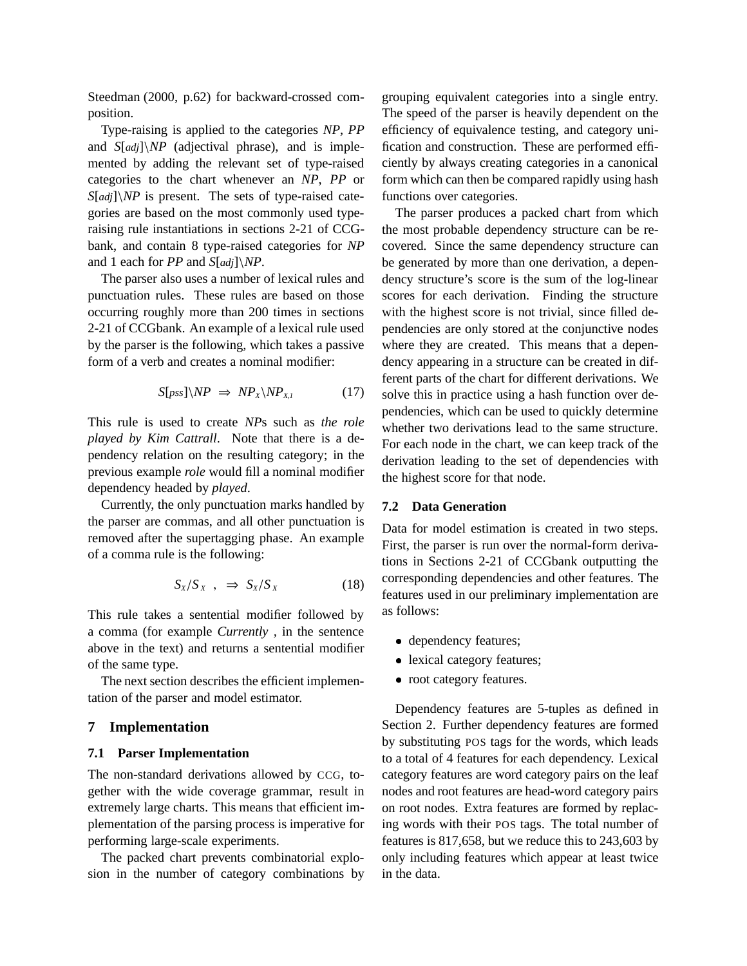Steedman (2000, p.62) for backward-crossed composition.

Type-raising is applied to the categories *NP*, *PP* and *S*[*adj*]\*NP* (adjectival phrase), and is implemented by adding the relevant set of type-raised categories to the chart whenever an *NP*, *PP* or *S*[*adj*]\*NP* is present. The sets of type-raised categories are based on the most commonly used typeraising rule instantiations in sections 2-21 of CCGbank, and contain 8 type-raised categories for *NP* and 1 each for *PP* and *S*[*adj*]\*NP*.

The parser also uses a number of lexical rules and punctuation rules. These rules are based on those occurring roughly more than 200 times in sections 2-21 of CCGbank. An example of a lexical rule used by the parser is the following, which takes a passive form of a verb and creates a nominal modifier:

$$
S[pss]\setminus NP \implies NP_{X}\setminus NP_{X,I} \tag{17}
$$

This rule is used to create *NP*s such as *the role played by Kim Cattrall*. Note that there is a dependency relation on the resulting category; in the previous example *role* would fill a nominal modifier dependency headed by *played*.

Currently, the only punctuation marks handled by the parser are commas, and all other punctuation is removed after the supertagging phase. An example of a comma rule is the following:

$$
S_X/S_X , \Rightarrow S_X/S_X \tag{18}
$$

This rule takes a sentential modifier followed by a comma (for example *Currently ,* in the sentence above in the text) and returns a sentential modifier of the same type.

The next section describes the efficient implementation of the parser and model estimator.

#### **7 Implementation**

#### **7.1 Parser Implementation**

The non-standard derivations allowed by CCG, together with the wide coverage grammar, result in extremely large charts. This means that efficient implementation of the parsing process is imperative for performing large-scale experiments.

The packed chart prevents combinatorial explosion in the number of category combinations by grouping equivalent categories into a single entry. The speed of the parser is heavily dependent on the efficiency of equivalence testing, and category unification and construction. These are performed efficiently by always creating categories in a canonical form which can then be compared rapidly using hash functions over categories.

The parser produces a packed chart from which the most probable dependency structure can be recovered. Since the same dependency structure can be generated by more than one derivation, a dependency structure's score is the sum of the log-linear scores for each derivation. Finding the structure with the highest score is not trivial, since filled dependencies are only stored at the conjunctive nodes where they are created. This means that a dependency appearing in a structure can be created in different parts of the chart for different derivations. We solve this in practice using a hash function over dependencies, which can be used to quickly determine whether two derivations lead to the same structure. For each node in the chart, we can keep track of the derivation leading to the set of dependencies with the highest score for that node.

## **7.2 Data Generation**

Data for model estimation is created in two steps. First, the parser is run over the normal-form derivations in Sections 2-21 of CCGbank outputting the corresponding dependencies and other features. The features used in our preliminary implementation are as follows:

- dependency features;
- lexical category features;
- root category features.

Dependency features are 5-tuples as defined in Section 2. Further dependency features are formed by substituting POS tags for the words, which leads to a total of 4 features for each dependency. Lexical category features are word category pairs on the leaf nodes and root features are head-word category pairs on root nodes. Extra features are formed by replacing words with their POS tags. The total number of features is 817,658, but we reduce this to 243,603 by only including features which appear at least twice in the data.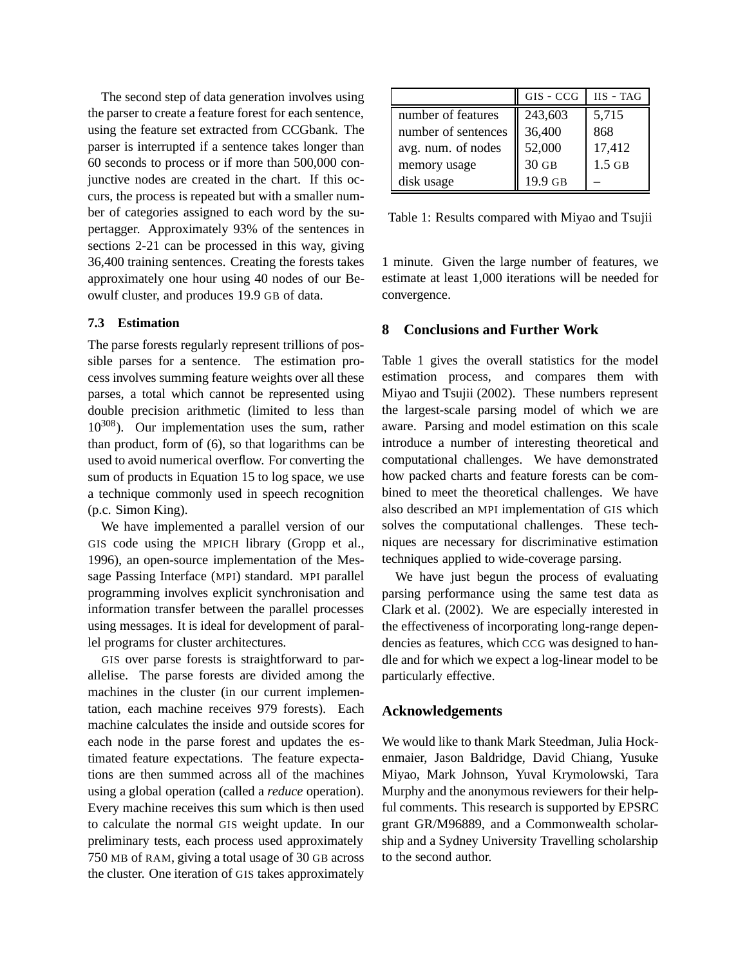The second step of data generation involves using the parser to create a feature forest for each sentence, using the feature set extracted from CCGbank. The parser is interrupted if a sentence takes longer than 60 seconds to process or if more than 500,000 conjunctive nodes are created in the chart. If this occurs, the process is repeated but with a smaller number of categories assigned to each word by the supertagger. Approximately 93% of the sentences in sections 2-21 can be processed in this way, giving 36,400 training sentences. Creating the forests takes approximately one hour using 40 nodes of our Beowulf cluster, and produces 19.9 GB of data.

## **7.3 Estimation**

The parse forests regularly represent trillions of possible parses for a sentence. The estimation process involves summing feature weights over all these parses, a total which cannot be represented using double precision arithmetic (limited to less than  $10^{308}$ ). Our implementation uses the sum, rather than product, form of (6), so that logarithms can be used to avoid numerical overflow. For converting the sum of products in Equation 15 to log space, we use a technique commonly used in speech recognition (p.c. Simon King).

We have implemented a parallel version of our GIS code using the MPICH library (Gropp et al., 1996), an open-source implementation of the Message Passing Interface (MPI) standard. MPI parallel programming involves explicit synchronisation and information transfer between the parallel processes using messages. It is ideal for development of parallel programs for cluster architectures.

GIS over parse forests is straightforward to parallelise. The parse forests are divided among the machines in the cluster (in our current implementation, each machine receives 979 forests). Each machine calculates the inside and outside scores for each node in the parse forest and updates the estimated feature expectations. The feature expectations are then summed across all of the machines using a global operation (called a *reduce* operation). Every machine receives this sum which is then used to calculate the normal GIS weight update. In our preliminary tests, each process used approximately 750 MB of RAM, giving a total usage of 30 GB across the cluster. One iteration of GIS takes approximately

|                     | GIS - CCG | IIS - TAG |
|---------------------|-----------|-----------|
| number of features  | 243,603   | 5,715     |
| number of sentences | 36,400    | 868       |
| avg. num. of nodes  | 52,000    | 17,412    |
| memory usage        | $30$ GB   | $1.5$ GB  |
| disk usage          | 19.9 GB   |           |

Table 1: Results compared with Miyao and Tsujii

1 minute. Given the large number of features, we estimate at least 1,000 iterations will be needed for convergence.

## **8 Conclusions and Further Work**

Table 1 gives the overall statistics for the model estimation process, and compares them with Miyao and Tsujii (2002). These numbers represent the largest-scale parsing model of which we are aware. Parsing and model estimation on this scale introduce a number of interesting theoretical and computational challenges. We have demonstrated how packed charts and feature forests can be combined to meet the theoretical challenges. We have also described an MPI implementation of GIS which solves the computational challenges. These techniques are necessary for discriminative estimation techniques applied to wide-coverage parsing.

We have just begun the process of evaluating parsing performance using the same test data as Clark et al. (2002). We are especially interested in the effectiveness of incorporating long-range dependencies as features, which CCG was designed to handle and for which we expect a log-linear model to be particularly effective.

## **Acknowledgements**

We would like to thank Mark Steedman, Julia Hockenmaier, Jason Baldridge, David Chiang, Yusuke Miyao, Mark Johnson, Yuval Krymolowski, Tara Murphy and the anonymous reviewers for their helpful comments. This research is supported by EPSRC grant GR/M96889, and a Commonwealth scholarship and a Sydney University Travelling scholarship to the second author.